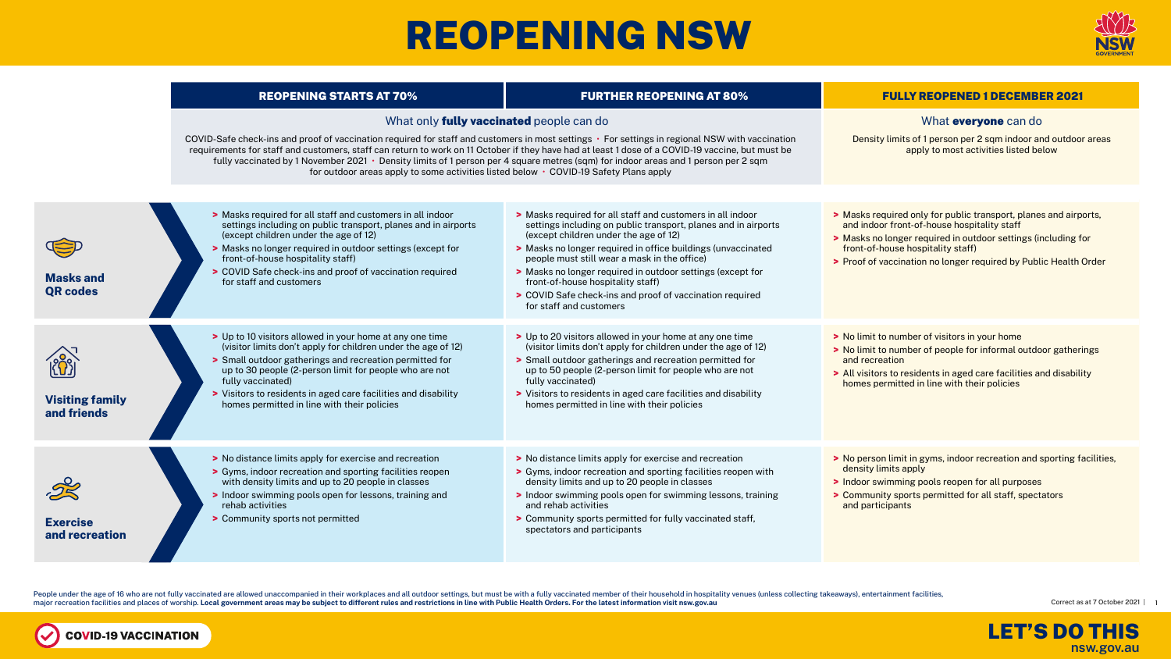## REOPENING NSW







People under the age of 16 who are not fully vaccinated are allowed unaccompanied in their workplaces and all outdoor settings, but must be with a fully vaccinated member of their household in hospitality venues (unless co major recreation facilities and places of worship. **Local government areas may be subject to different rules and restrictions in line with Public Health Orders. For the latest information visit nsw.gov.au**

**COVID-19 VACCINATION** 

 $\sim$ 



|                                                   | <b>REOPENING STARTS AT 70%</b>                                                                                                                                                                                                                                                                                                                                                                                                                                                                                                                                                        | <b>FURTHER REOPENING AT 80%</b>                                                                                                                                                                                                                                                                                                                                                                                                                                                 | <b>FULLY REOPENED 1 DECEMBER 2021</b>                                                                                                                                                                                                                                                     |
|---------------------------------------------------|---------------------------------------------------------------------------------------------------------------------------------------------------------------------------------------------------------------------------------------------------------------------------------------------------------------------------------------------------------------------------------------------------------------------------------------------------------------------------------------------------------------------------------------------------------------------------------------|---------------------------------------------------------------------------------------------------------------------------------------------------------------------------------------------------------------------------------------------------------------------------------------------------------------------------------------------------------------------------------------------------------------------------------------------------------------------------------|-------------------------------------------------------------------------------------------------------------------------------------------------------------------------------------------------------------------------------------------------------------------------------------------|
|                                                   | What only <b>fully vaccinated</b> people can do<br>COVID-Safe check-ins and proof of vaccination required for staff and customers in most settings • For settings in regional NSW with vaccination<br>requirements for staff and customers, staff can return to work on 11 October if they have had at least 1 dose of a COVID-19 vaccine, but must be<br>fully vaccinated by 1 November 2021 • Density limits of 1 person per 4 square metres (sqm) for indoor areas and 1 person per 2 sqm<br>for outdoor areas apply to some activities listed below • COVID-19 Safety Plans apply |                                                                                                                                                                                                                                                                                                                                                                                                                                                                                 | What everyone can do<br>Density limits of 1 person per 2 sqm indoor and outdoor areas<br>apply to most activities listed below                                                                                                                                                            |
| <b>Masks and</b><br><b>QR codes</b>               | > Masks required for all staff and customers in all indoor<br>settings including on public transport, planes and in airports<br>(except children under the age of 12)<br>> Masks no longer required in outdoor settings (except for<br>front-of-house hospitality staff)<br>> COVID Safe check-ins and proof of vaccination required<br>for staff and customers                                                                                                                                                                                                                       | > Masks required for all staff and customers in all indoor<br>settings including on public transport, planes and in airports<br>(except children under the age of 12)<br>> Masks no longer required in office buildings (unvaccinated<br>people must still wear a mask in the office)<br>> Masks no longer required in outdoor settings (except for<br>front-of-house hospitality staff)<br>> COVID Safe check-ins and proof of vaccination required<br>for staff and customers | > Masks required only for public transport, planes and airports,<br>and indoor front-of-house hospitality staff<br>> Masks no longer required in outdoor settings (including for<br>front-of-house hospitality staff)<br>> Proof of vaccination no longer required by Public Health Order |
| $\wedge$<br><b>Visiting family</b><br>and friends | > Up to 10 visitors allowed in your home at any one time<br>(visitor limits don't apply for children under the age of 12)<br>> Small outdoor gatherings and recreation permitted for<br>up to 30 people (2-person limit for people who are not<br>fully vaccinated)<br>> Visitors to residents in aged care facilities and disability<br>homes permitted in line with their policies                                                                                                                                                                                                  | > Up to 20 visitors allowed in your home at any one time<br>(visitor limits don't apply for children under the age of 12)<br>> Small outdoor gatherings and recreation permitted for<br>up to 50 people (2-person limit for people who are not<br>fully vaccinated)<br>> Visitors to residents in aged care facilities and disability<br>homes permitted in line with their policies                                                                                            | > No limit to number of visitors in your home<br>> No limit to number of people for informal outdoor gatherings<br>and recreation<br>> All visitors to residents in aged care facilities and disability<br>homes permitted in line with their policies                                    |
| <b>Exercise</b><br>and recreation                 | > No distance limits apply for exercise and recreation<br>> Gyms, indoor recreation and sporting facilities reopen<br>with density limits and up to 20 people in classes<br>> Indoor swimming pools open for lessons, training and<br>rehab activities<br>> Community sports not permitted                                                                                                                                                                                                                                                                                            | > No distance limits apply for exercise and recreation<br>> Gyms, indoor recreation and sporting facilities reopen with<br>density limits and up to 20 people in classes<br>> Indoor swimming pools open for swimming lessons, training<br>and rehab activities<br>> Community sports permitted for fully vaccinated staff,<br>spectators and participants                                                                                                                      | > No person limit in gyms, indoor recreation and sporting facilities,<br>density limits apply<br>> Indoor swimming pools reopen for all purposes<br>> Community sports permitted for all staff, spectators<br>and participants                                                            |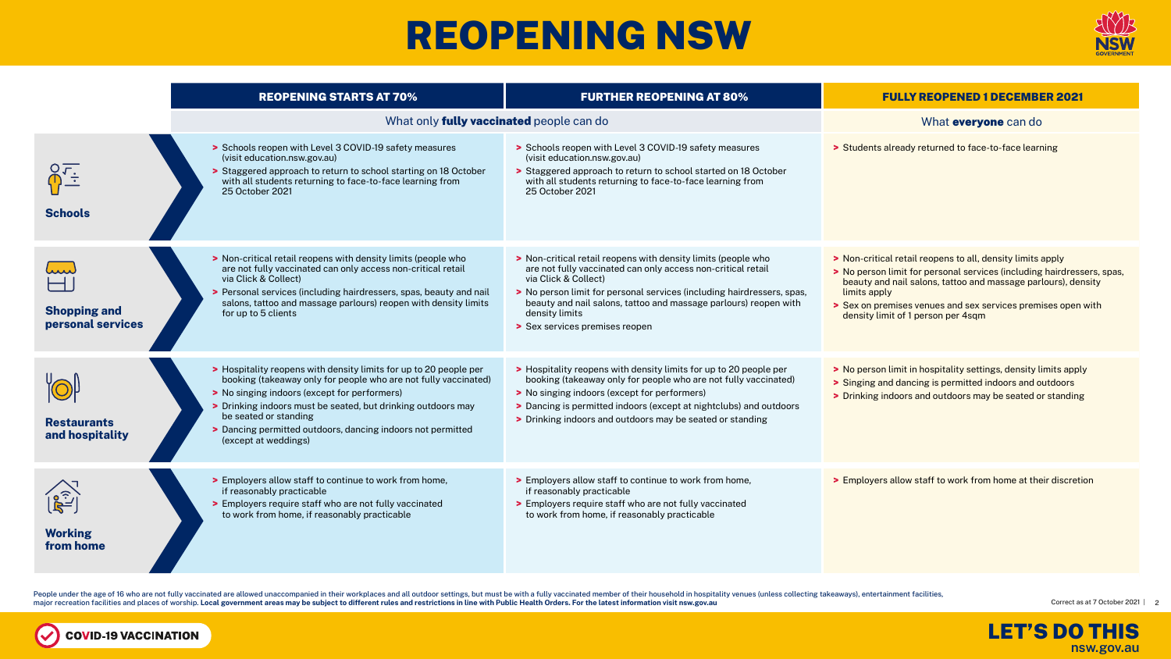### REOPENING NSW





People under the age of 16 who are not fully vaccinated are allowed unaccompanied in their workplaces and all outdoor settings, but must be with a fully vaccinated member of their household in hospitality venues (unless co major recreation facilities and places of worship. **Local government areas may be subject to different rules and restrictions in line with Public Health Orders. For the latest information visit nsw.gov.au**

**COVID-19 VACCINATION** 

 $\sim$ 



|                                                                | <b>REOPENING STARTS AT 70%</b>                                                                                                                                                                                                                                                                                                                                       | <b>FURTHER REOPENING AT 80%</b>                                                                                                                                                                                                                                                                                                                         | <b>FULLY REOPENED 1 DECEMBER 2021</b>                                                                                                                                                                                                                                                                                       |
|----------------------------------------------------------------|----------------------------------------------------------------------------------------------------------------------------------------------------------------------------------------------------------------------------------------------------------------------------------------------------------------------------------------------------------------------|---------------------------------------------------------------------------------------------------------------------------------------------------------------------------------------------------------------------------------------------------------------------------------------------------------------------------------------------------------|-----------------------------------------------------------------------------------------------------------------------------------------------------------------------------------------------------------------------------------------------------------------------------------------------------------------------------|
|                                                                | What only <b>fully vaccinated</b> people can do                                                                                                                                                                                                                                                                                                                      | What <b>everyone</b> can do                                                                                                                                                                                                                                                                                                                             |                                                                                                                                                                                                                                                                                                                             |
| $\sqrt{\frac{1}{2}}$<br><b>Schools</b>                         | > Schools reopen with Level 3 COVID-19 safety measures<br>(visit education.nsw.gov.au)<br>> Staggered approach to return to school starting on 18 October<br>with all students returning to face-to-face learning from<br>25 October 2021                                                                                                                            | Schools reopen with Level 3 COVID-19 safety measures<br>(visit education.nsw.gov.au)<br>> Staggered approach to return to school started on 18 October<br>with all students returning to face-to-face learning from<br>25 October 2021                                                                                                                  | > Students already returned to face-to-face learning                                                                                                                                                                                                                                                                        |
| hun<br><b>Shopping and</b><br>personal services                | > Non-critical retail reopens with density limits (people who<br>are not fully vaccinated can only access non-critical retail<br>via Click & Collect)<br>> Personal services (including hairdressers, spas, beauty and nail<br>salons, tattoo and massage parlours) reopen with density limits<br>for up to 5 clients                                                | > Non-critical retail reopens with density limits (people who<br>are not fully vaccinated can only access non-critical retail<br>via Click & Collect)<br>> No person limit for personal services (including hairdressers, spas,<br>beauty and nail salons, tattoo and massage parlours) reopen with<br>density limits<br>> Sex services premises reopen | > Non-critical retail reopens to all, density limits apply<br>> No person limit for personal services (including hairdressers, spas,<br>beauty and nail salons, tattoo and massage parlours), density<br>limits apply<br>> Sex on premises venues and sex services premises open with<br>density limit of 1 person per 4sqm |
| <b>Restaurants</b><br>and hospitality                          | > Hospitality reopens with density limits for up to 20 people per<br>booking (takeaway only for people who are not fully vaccinated)<br>> No singing indoors (except for performers)<br>> Drinking indoors must be seated, but drinking outdoors may<br>be seated or standing<br>> Dancing permitted outdoors, dancing indoors not permitted<br>(except at weddings) | > Hospitality reopens with density limits for up to 20 people per<br>booking (takeaway only for people who are not fully vaccinated)<br>> No singing indoors (except for performers)<br>> Dancing is permitted indoors (except at nightclubs) and outdoors<br>> Drinking indoors and outdoors may be seated or standing                                 | > No person limit in hospitality settings, density limits apply<br>> Singing and dancing is permitted indoors and outdoors<br>> Drinking indoors and outdoors may be seated or standing                                                                                                                                     |
| $\mathbf{F}^{\text{o}}_{L^{2}}$<br><b>Working</b><br>from home | > Employers allow staff to continue to work from home,<br>if reasonably practicable<br>> Employers require staff who are not fully vaccinated<br>to work from home, if reasonably practicable                                                                                                                                                                        | > Employers allow staff to continue to work from home,<br>if reasonably practicable<br>> Employers require staff who are not fully vaccinated<br>to work from home, if reasonably practicable                                                                                                                                                           | > Employers allow staff to work from home at their discretion                                                                                                                                                                                                                                                               |